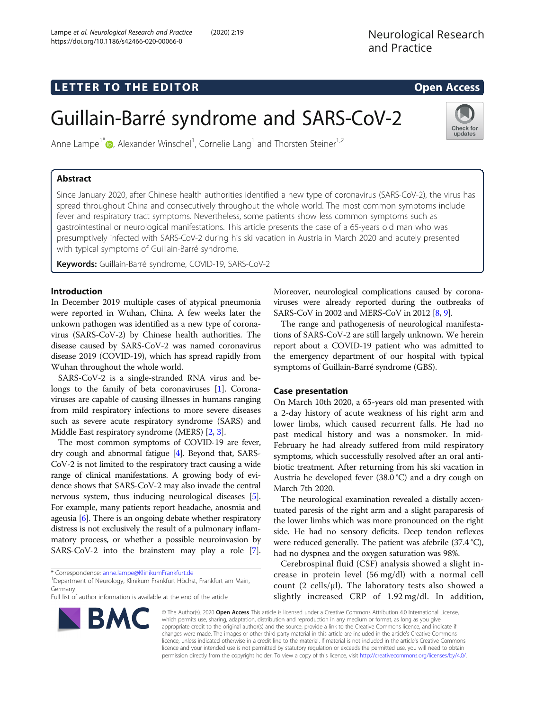## LETTER TO THE EDITOR **CONSIDERATION**

Check for updates

# Guillain-Barré syndrome and SARS-CoV-2

Anne Lampe<sup>1[\\*](http://orcid.org/0000-0002-8517-8240)</sup> <sub>(b</sub>, Alexander Winschel<sup>1</sup>, Cornelie Lang<sup>1</sup> and Thorsten Steiner<sup>1,2</sup>

### Abstract

Since January 2020, after Chinese health authorities identified a new type of coronavirus (SARS-CoV-2), the virus has spread throughout China and consecutively throughout the whole world. The most common symptoms include fever and respiratory tract symptoms. Nevertheless, some patients show less common symptoms such as gastrointestinal or neurological manifestations. This article presents the case of a 65-years old man who was presumptively infected with SARS-CoV-2 during his ski vacation in Austria in March 2020 and acutely presented with typical symptoms of Guillain-Barré syndrome.

Keywords: Guillain-Barré syndrome, COVID-19, SARS-CoV-2

#### Introduction

In December 2019 multiple cases of atypical pneumonia were reported in Wuhan, China. A few weeks later the unkown pathogen was identified as a new type of coronavirus (SARS-CoV-2) by Chinese health authorities. The disease caused by SARS-CoV-2 was named coronavirus disease 2019 (COVID-19), which has spread rapidly from Wuhan throughout the whole world.

SARS-CoV-2 is a single-stranded RNA virus and belongs to the family of beta coronaviruses [\[1\]](#page-2-0). Coronaviruses are capable of causing illnesses in humans ranging from mild respiratory infections to more severe diseases such as severe acute respiratory syndrome (SARS) and Middle East respiratory syndrome (MERS) [\[2,](#page-2-0) [3](#page-2-0)].

The most common symptoms of COVID-19 are fever, dry cough and abnormal fatigue [[4](#page-2-0)]. Beyond that, SARS-CoV-2 is not limited to the respiratory tract causing a wide range of clinical manifestations. A growing body of evidence shows that SARS-CoV-2 may also invade the central nervous system, thus inducing neurological diseases [[5](#page-2-0)]. For example, many patients report headache, anosmia and ageusia [[6\]](#page-2-0). There is an ongoing debate whether respiratory distress is not exclusively the result of a pulmonary inflammatory process, or whether a possible neuroinvasion by SARS-CoV-2 into the brainstem may play a role [[7](#page-2-0)].

\* Correspondence: [anne.lampe@KlinikumFrankfurt.de](mailto:anne.lampe@KlinikumFrankfurt.de) <sup>1</sup>

**BMC** 

<sup>1</sup> Department of Neurology, Klinikum Frankfurt Höchst, Frankfurt am Main, Germany

Full list of author information is available at the end of the article



The range and pathogenesis of neurological manifestations of SARS-CoV-2 are still largely unknown. We herein report about a COVID-19 patient who was admitted to the emergency department of our hospital with typical symptoms of Guillain-Barré syndrome (GBS).

#### Case presentation

On March 10th 2020, a 65-years old man presented with a 2-day history of acute weakness of his right arm and lower limbs, which caused recurrent falls. He had no past medical history and was a nonsmoker. In mid-February he had already suffered from mild respiratory symptoms, which successfully resolved after an oral antibiotic treatment. After returning from his ski vacation in Austria he developed fever (38.0 °C) and a dry cough on March 7th 2020.

The neurological examination revealed a distally accentuated paresis of the right arm and a slight paraparesis of the lower limbs which was more pronounced on the right side. He had no sensory deficits. Deep tendon reflexes were reduced generally. The patient was afebrile (37.4 °C), had no dyspnea and the oxygen saturation was 98%.

Cerebrospinal fluid (CSF) analysis showed a slight increase in protein level (56 mg/dl) with a normal cell count  $(2 \text{ cells/}\mu l)$ . The laboratory tests also showed a slightly increased CRP of 1.92 mg/dl. In addition,

© The Author(s). 2020 Open Access This article is licensed under a Creative Commons Attribution 4.0 International License, which permits use, sharing, adaptation, distribution and reproduction in any medium or format, as long as you give appropriate credit to the original author(s) and the source, provide a link to the Creative Commons licence, and indicate if changes were made. The images or other third party material in this article are included in the article's Creative Commons licence, unless indicated otherwise in a credit line to the material. If material is not included in the article's Creative Commons licence and your intended use is not permitted by statutory regulation or exceeds the permitted use, you will need to obtain permission directly from the copyright holder. To view a copy of this licence, visit [http://creativecommons.org/licenses/by/4.0/.](http://creativecommons.org/licenses/by/4.0/)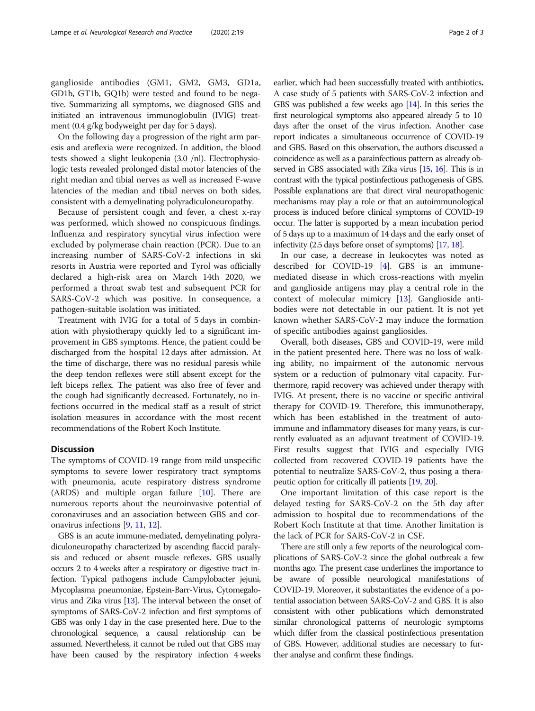ganglioside antibodies (GM1, GM2, GM3, GD1a, GD1b, GT1b, GQ1b) were tested and found to be negative. Summarizing all symptoms, we diagnosed GBS and initiated an intravenous immunoglobulin (IVIG) treatment (0.4 g/kg bodyweight per day for 5 days).

On the following day a progression of the right arm paresis and areflexia were recognized. In addition, the blood tests showed a slight leukopenia (3.0 /nl). Electrophysiologic tests revealed prolonged distal motor latencies of the right median and tibial nerves as well as increased F-wave latencies of the median and tibial nerves on both sides, consistent with a demyelinating polyradiculoneuropathy.

Because of persistent cough and fever, a chest x-ray was performed, which showed no conspicuous findings. Influenza and respiratory syncytial virus infection were excluded by polymerase chain reaction (PCR). Due to an increasing number of SARS-CoV-2 infections in ski resorts in Austria were reported and Tyrol was officially declared a high-risk area on March 14th 2020, we performed a throat swab test and subsequent PCR for SARS-CoV-2 which was positive. In consequence, a pathogen-suitable isolation was initiated.

Treatment with IVIG for a total of 5 days in combination with physiotherapy quickly led to a significant improvement in GBS symptoms. Hence, the patient could be discharged from the hospital 12 days after admission. At the time of discharge, there was no residual paresis while the deep tendon reflexes were still absent except for the left biceps reflex. The patient was also free of fever and the cough had significantly decreased. Fortunately, no infections occurred in the medical staff as a result of strict isolation measures in accordance with the most recent recommendations of the Robert Koch Institute.

#### **Discussion**

The symptoms of COVID-19 range from mild unspecific symptoms to severe lower respiratory tract symptoms with pneumonia, acute respiratory distress syndrome (ARDS) and multiple organ failure [[10](#page-2-0)]. There are numerous reports about the neuroinvasive potential of coronaviruses and an association between GBS and coronavirus infections [\[9](#page-2-0), [11,](#page-2-0) [12\]](#page-2-0).

GBS is an acute immune-mediated, demyelinating polyradiculoneuropathy characterized by ascending flaccid paralysis and reduced or absent muscle reflexes. GBS usually occurs 2 to 4 weeks after a respiratory or digestive tract infection. Typical pathogens include Campylobacter jejuni, Mycoplasma pneumoniae, Epstein-Barr-Virus, Cytomegalovirus and Zika virus [[13](#page-2-0)]. The interval between the onset of symptoms of SARS-CoV-2 infection and first symptoms of GBS was only 1 day in the case presented here. Due to the chronological sequence, a causal relationship can be assumed. Nevertheless, it cannot be ruled out that GBS may have been caused by the respiratory infection 4 weeks

earlier, which had been successfully treated with antibiotics. A case study of 5 patients with SARS-CoV-2 infection and GBS was published a few weeks ago [\[14](#page-2-0)]. In this series the first neurological symptoms also appeared already 5 to 10 days after the onset of the virus infection. Another case report indicates a simultaneous occurrence of COVID-19 and GBS. Based on this observation, the authors discussed a coincidence as well as a parainfectious pattern as already observed in GBS associated with Zika virus [\[15](#page-2-0), [16\]](#page-2-0). This is in contrast with the typical postinfectious pathogenesis of GBS. Possible explanations are that direct viral neuropathogenic mechanisms may play a role or that an autoimmunological process is induced before clinical symptoms of COVID-19 occur. The latter is supported by a mean incubation period of 5 days up to a maximum of 14 days and the early onset of infectivity (2.5 days before onset of symptoms) [[17,](#page-2-0) [18\]](#page-2-0).

In our case, a decrease in leukocytes was noted as described for COVID-19 [\[4\]](#page-2-0). GBS is an immunemediated disease in which cross-reactions with myelin and ganglioside antigens may play a central role in the context of molecular mimicry [[13](#page-2-0)]. Ganglioside antibodies were not detectable in our patient. It is not yet known whether SARS-CoV-2 may induce the formation of specific antibodies against gangliosides.

Overall, both diseases, GBS and COVID-19, were mild in the patient presented here. There was no loss of walking ability, no impairment of the autonomic nervous system or a reduction of pulmonary vital capacity. Furthermore, rapid recovery was achieved under therapy with IVIG. At present, there is no vaccine or specific antiviral therapy for COVID-19. Therefore, this immunotherapy, which has been established in the treatment of autoimmune and inflammatory diseases for many years, is currently evaluated as an adjuvant treatment of COVID-19. First results suggest that IVIG and especially IVIG collected from recovered COVID-19 patients have the potential to neutralize SARS-CoV-2, thus posing a therapeutic option for critically ill patients [\[19,](#page-2-0) [20](#page-2-0)].

One important limitation of this case report is the delayed testing for SARS-CoV-2 on the 5th day after admission to hospital due to recommendations of the Robert Koch Institute at that time. Another limitation is the lack of PCR for SARS-CoV-2 in CSF.

There are still only a few reports of the neurological complications of SARS-CoV-2 since the global outbreak a few months ago. The present case underlines the importance to be aware of possible neurological manifestations of COVID-19. Moreover, it substantiates the evidence of a potential association between SARS-CoV-2 and GBS. It is also consistent with other publications which demonstrated similar chronological patterns of neurologic symptoms which differ from the classical postinfectious presentation of GBS. However, additional studies are necessary to further analyse and confirm these findings.